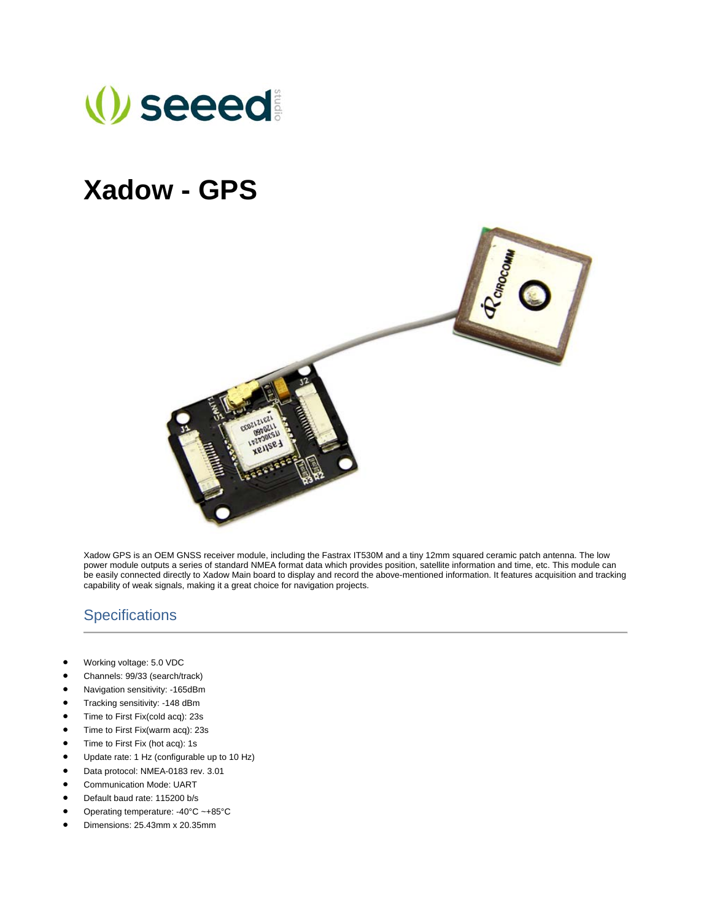

## **Xadow - GPS**



Xadow GPS is an OEM GNSS receiver module, including the Fastrax IT530M and a tiny 12mm squared ceramic patch antenna. The low power module outputs a series of standard NMEA format data which provides position, satellite information and time, etc. This module can be easily connected directly to Xadow Main board to display and record the above-mentioned information. It features acquisition and tracking capability of weak signals, making it a great choice for navigation projects.

## **Specifications**

- Working voltage: 5.0 VDC
- Channels: 99/33 (search/track)
- Navigation sensitivity: -165dBm
- Tracking sensitivity: -148 dBm
- Time to First Fix(cold acq): 23s
- Time to First Fix(warm acq): 23s
- Time to First Fix (hot acq): 1s
- Update rate: 1 Hz (configurable up to 10 Hz)
- Data protocol: NMEA-0183 rev. 3.01
- Communication Mode: UART
- Default baud rate: 115200 b/s
- Operating temperature: -40°C ~+85°C
- Dimensions: 25.43mm x 20.35mm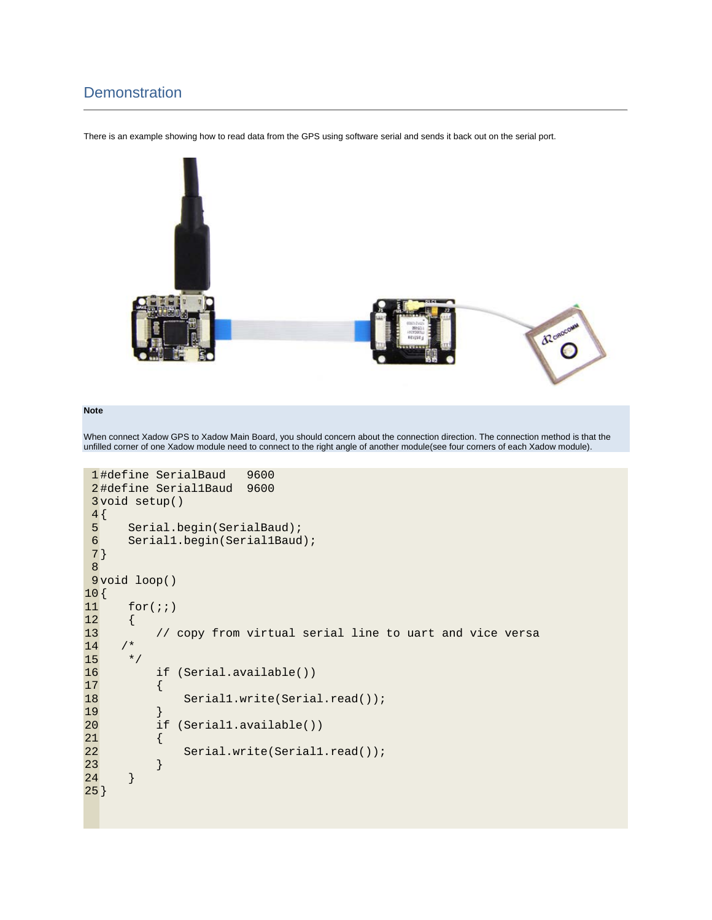## **Demonstration**

There is an example showing how to read data from the GPS using software serial and sends it back out on the serial port.



## **Note**

When connect Xadow GPS to Xadow Main Board, you should concern about the connection direction. The connection method is that the unfilled corner of one Xadow module need to connect to the right angle of another module(see four corners of each Xadow module).

```
 1 
#define SerialBaud 9600 
 2 
#define Serial1Baud 9600 
 3 
void setup() 
4\{ 5 
  6 
 7 
} 
  8 
 9 
void loop() 
10 
{ 
11 
12 
13 
14 
15 
16 
17 
18 
19 
20 
21 
22 
23 
24 
25
}  Serial.begin(SerialBaud); 
        Serial1.begin(Serial1Baud); 
       for(i;\{ // copy from virtual serial line to uart and vice versa 
       /* 
        */ 
             if (Serial.available()) 
             { 
                  Serial1.write(Serial.read()); 
    } 
             if (Serial1.available()) 
             { 
                 Serial.write(Serial1.read()); 
             } 
        }
```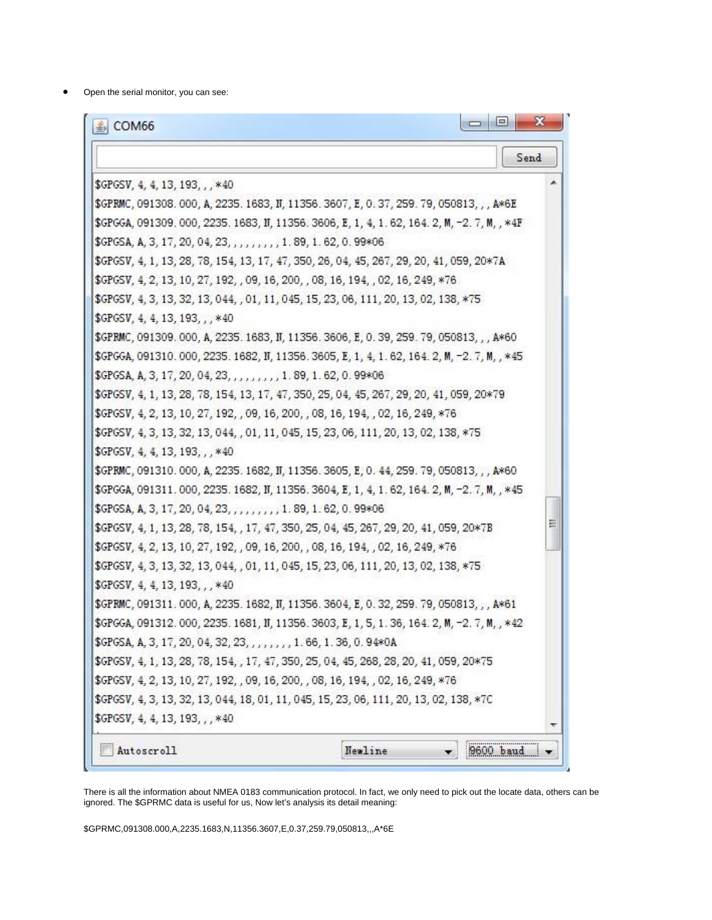Open the serial monitor, you can see:

| $\triangle$ COM66                                                                            | $\mathbf{x}$<br>$\vert$ o $\vert$<br><b>COL</b> |
|----------------------------------------------------------------------------------------------|-------------------------------------------------|
|                                                                                              | Send                                            |
| \$GPGSV, 4, 4, 13, 193, , , *40                                                              |                                                 |
| \$GPRMC, 091308.000, A, 2235.1683, IT, 11356.3607, E, 0.37, 259.79, 050813, , , A*6E         |                                                 |
| \$GPGGA, 091309. 000, 2235. 1683, IT, 11356. 3606, E, 1, 4, 1.62, 164. 2, M, -2. 7, M, , *4F |                                                 |
| \$GPGSA, A, 3, 17, 20, 04, 23, , , , , , , , , 1.89, 1.62, 0.99*06                           |                                                 |
| \$GPGSV, 4, 1, 13, 28, 78, 154, 13, 17, 47, 350, 26, 04, 45, 267, 29, 20, 41, 059, 20*7A     |                                                 |
| \$GPGSV, 4, 2, 13, 10, 27, 192, , 09, 16, 200, , 08, 16, 194, , 02, 16, 249, *76             |                                                 |
| \$GPGSV, 4, 3, 13, 32, 13, 044, , 01, 11, 045, 15, 23, 06, 111, 20, 13, 02, 138, *75         |                                                 |
| $$GPGSV, 4, 4, 13, 193, .$ , *40                                                             |                                                 |
| \$GPRMC, 091309.000, A, 2235.1683, IT, 11356.3606, E, 0.39, 259.79, 050813, , , A*60         |                                                 |
| \$GPGGA, 091310.000, 2235.1682, IT, 11356.3605, E, 1, 4, 1.62, 164.2, M, -2.7, M, , *45      |                                                 |
| \$GPGSA, A, 3, 17, 20, 04, 23, , , , , , , , , 1.89, 1.62, 0.99*06                           |                                                 |
| \$GPGSV, 4, 1, 13, 28, 78, 154, 13, 17, 47, 350, 25, 04, 45, 267, 29, 20, 41, 059, 20*79     |                                                 |
| \$GPGSV, 4, 2, 13, 10, 27, 192, , 09, 16, 200, , 08, 16, 194, , 02, 16, 249, *76             |                                                 |
| \$GPGSV, 4, 3, 13, 32, 13, 044, , 01, 11, 045, 15, 23, 06, 111, 20, 13, 02, 138, *75         |                                                 |
| \$GPGSV, 4, 4, 13, 193, ,, *40                                                               |                                                 |
| \$GPRMC, 091310.000, A, 2235.1682, II, 11356.3605, E, 0.44, 259.79, 050813, , , A*60         |                                                 |
| \$GPGGA, 091311.000, 2235.1682, IT, 11356.3604, E, 1, 4, 1.62, 164.2, M, -2.7, M, , *45      |                                                 |
| \$GPGSA, A, 3, 17, 20, 04, 23, , , , , , , , , 1. 89, 1.62, 0.99*06                          |                                                 |
| \$GPGSV, 4, 1, 13, 28, 78, 154, , 17, 47, 350, 25, 04, 45, 267, 29, 20, 41, 059, 20*7B       | Ξ                                               |
| \$GPGSV, 4, 2, 13, 10, 27, 192, , 09, 16, 200, , 08, 16, 194, , 02, 16, 249, *76             |                                                 |
| \$GPGSV, 4, 3, 13, 32, 13, 044, , 01, 11, 045, 15, 23, 06, 111, 20, 13, 02, 138, *75         |                                                 |
| \$GPGSV, 4, 4, 13, 193, , , *40                                                              |                                                 |
| \$GPRMC, 091311, 000, A, 2235. 1682, II, 11356. 3604, E, 0.32, 259. 79, 050813, , , A*61     |                                                 |
| \$GPGGA, 091312.000, 2235.1681, IT, 11356.3603, E, 1, 5, 1.36, 164.2, M, -2.7, M, , *42      |                                                 |
| \$GPGSA, A, 3, 17, 20, 04, 32, 23, , , , , , , , 1. 66, 1. 36, 0. 94*0A                      |                                                 |
| \$GPGSV, 4, 1, 13, 28, 78, 154, , 17, 47, 350, 25, 04, 45, 268, 28, 20, 41, 059, 20*75       |                                                 |
| \$GPGSV, 4, 2, 13, 10, 27, 192, , 09, 16, 200, , 08, 16, 194, , 02, 16, 249, *76             |                                                 |
| \$GPGSV, 4, 3, 13, 32, 13, 044, 18, 01, 11, 045, 15, 23, 06, 111, 20, 13, 02, 138, *7C       |                                                 |
| \$GPGSV, 4, 4, 13, 193, , , *40                                                              |                                                 |
| Autoscroll                                                                                   | 9600 baud<br>Newline                            |

There is all the information about NMEA 0183 communication protocol. In fact, we only need to pick out the locate data, others can be ignored. The \$GPRMC data is useful for us, Now let's analysis its detail meaning:

\$GPRMC,091308.000,A,2235.1683,N,11356.3607,E,0.37,259.79,050813,,,A\*6E